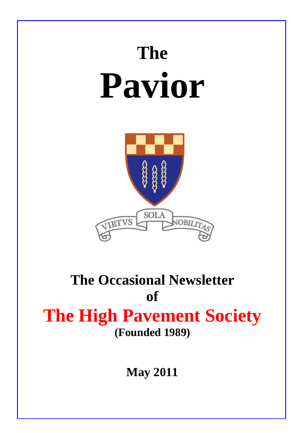# **The Pavior**



## **The Occasional Newsletter of The High Pavement Society (Founded 1989)**

**May 2011**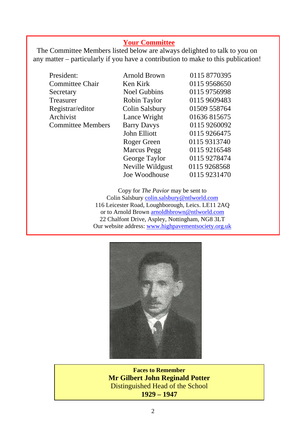#### **Your Committee**

The Committee Members listed below are always delighted to talk to you on any matter – particularly if you have a contribution to make to this publication!

| President:              |
|-------------------------|
| <b>Committee Chair</b>  |
| Secretary               |
| Treasurer               |
| Registrar/editor        |
| Archivist               |
| <b>Committee Member</b> |

| President:               | <b>Arnold Brown</b> | 0115 8770395 |
|--------------------------|---------------------|--------------|
| <b>Committee Chair</b>   | Ken Kirk            | 0115 9568650 |
| Secretary                | <b>Noel Gubbins</b> | 0115 9756998 |
| Treasurer                | Robin Taylor        | 0115 9609483 |
| Registrar/editor         | Colin Salsbury      | 01509 558764 |
| Archivist                | Lance Wright        | 01636815675  |
| <b>Committee Members</b> | <b>Barry Davys</b>  | 0115 9260092 |
|                          | John Elliott        | 0115 9266475 |
|                          | Roger Green         | 0115 9313740 |
|                          | <b>Marcus</b> Pegg  | 0115 9216548 |
|                          | George Taylor       | 0115 9278474 |
|                          | Neville Wildgust    | 0115 9268568 |
|                          | Joe Woodhouse       | 0115 9231470 |
|                          |                     |              |

Copy for *The Pavior* may be sent to Colin Salsbury [colin.salsbury@ntlworld.com](mailto:colin.salsbury@ntlworld.com) 116 Leicester Road, Loughborough, Leics. LE11 2AQ or to Arnold Brown [arnoldhbrown@ntlworld.com](mailto:arnoldhbrown@ntlworld.com) 22 Chalfont Drive, Aspley, Nottingham, NG8 3LT Our website address: [www.highpavementsociety.org.uk](http://www.highpavementsociety.org.uk/)



**Faces to Remember Mr Gilbert John Reginald Potter**  Distinguished Head of the School **1929 – 1947**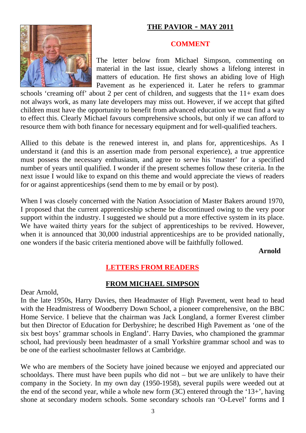#### **THE PAVIOR - MAY 2011**



#### **COMMENT**

The letter below from Michael Simpson, commenting on material in the last issue, clearly shows a lifelong interest in matters of education. He first shows an abiding love of High Pavement as he experienced it. Later he refers to grammar

schools 'creaming off' about 2 per cent of children, and suggests that the  $11+$  exam does not always work, as many late developers may miss out. However, if we accept that gifted children must have the opportunity to benefit from advanced education we must find a way to effect this. Clearly Michael favours comprehensive schools, but only if we can afford to resource them with both finance for necessary equipment and for well-qualified teachers.

Allied to this debate is the renewed interest in, and plans for, apprenticeships. As I understand it (and this is an assertion made from personal experience), a true apprentice must possess the necessary enthusiasm, and agree to serve his 'master' for a specified number of years until qualified. I wonder if the present schemes follow these criteria. In the next issue I would like to expand on this theme and would appreciate the views of readers for or against apprenticeships (send them to me by email or by post).

When I was closely concerned with the Nation Association of Master Bakers around 1970, I proposed that the current apprenticeship scheme be discontinued owing to the very poor support within the industry. I suggested we should put a more effective system in its place. We have waited thirty years for the subject of apprenticeships to be revived. However, when it is announced that 30,000 industrial apprenticeships are to be provided nationally, one wonders if the basic criteria mentioned above will be faithfully followed.

**Arnold**

#### **LETTERS FROM READERS**

#### **FROM MICHAEL SIMPSON**

Dear Arnold,

In the late 1950s, Harry Davies, then Headmaster of High Pavement, went head to head with the Headmistress of Woodberry Down School, a pioneer comprehensive, on the BBC Home Service. I believe that the chairman was Jack Longland, a former Everest climber but then Director of Education for Derbyshire; he described High Pavement as 'one of the six best boys' grammar schools in England'. Harry Davies, who championed the grammar school, had previously been headmaster of a small Yorkshire grammar school and was to be one of the earliest schoolmaster fellows at Cambridge.

We who are members of the Society have joined because we enjoyed and appreciated our schooldays. There must have been pupils who did not – but we are unlikely to have their company in the Society. In my own day (1950-1958), several pupils were weeded out at the end of the second year, while a whole new form (3C) entered through the '13+', having shone at secondary modern schools. Some secondary schools ran 'O-Level' forms and I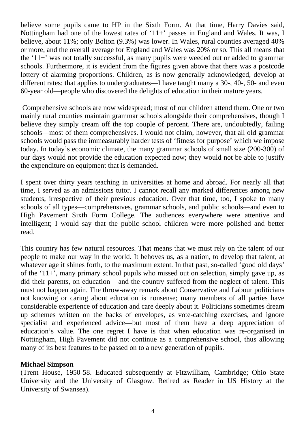believe some pupils came to HP in the Sixth Form. At that time, Harry Davies said, Nottingham had one of the lowest rates of '11+' passes in England and Wales. It was, I believe, about 11%; only Bolton (9.3%) was lower. In Wales, rural counties averaged 40% or more, and the overall average for England and Wales was 20% or so. This all means that the '11+' was not totally successful, as many pupils were weeded out or added to grammar schools. Furthermore, it is evident from the figures given above that there was a postcode lottery of alarming proportions. Children, as is now generally acknowledged, develop at different rates; that applies to undergraduates—I have taught many a 30-, 40-, 50- and even 60-year old—people who discovered the delights of education in their mature years.

 Comprehensive schools are now widespread; most of our children attend them. One or two mainly rural counties maintain grammar schools alongside their comprehensives, though I believe they simply cream off the top couple of percent. There are, undoubtedly, failing schools—most of them comprehensives. I would not claim, however, that all old grammar schools would pass the immeasurably harder tests of 'fitness for purpose' which we impose today. In today's economic climate, the many grammar schools of small size (200-300) of our days would not provide the education expected now; they would not be able to justify the expenditure on equipment that is demanded.

I spent over thirty years teaching in universities at home and abroad. For nearly all that time, I served as an admissions tutor. I cannot recall any marked differences among new students, irrespective of their previous education. Over that time, too, I spoke to many schools of all types—comprehensives, grammar schools, and public schools—and even to High Pavement Sixth Form College. The audiences everywhere were attentive and intelligent; I would say that the public school children were more polished and better read.

This country has few natural resources. That means that we must rely on the talent of our people to make our way in the world. It behoves us, as a nation, to develop that talent, at whatever age it shines forth, to the maximum extent. In that past, so-called 'good old days' of the '11+', many primary school pupils who missed out on selection, simply gave up, as did their parents, on education – and the country suffered from the neglect of talent. This must not happen again. The throw-away remark about Conservative and Labour politicians not knowing or caring about education is nonsense; many members of all parties have considerable experience of education and care deeply about it. Politicians sometimes dream up schemes written on the backs of envelopes, as vote-catching exercises, and ignore specialist and experienced advice—but most of them have a deep appreciation of education's value. The one regret I have is that when education was re-organised in Nottingham, High Pavement did not continue as a comprehensive school, thus allowing many of its best features to be passed on to a new generation of pupils.

#### **Michael Simpson**

(Trent House, 1950-58. Educated subsequently at Fitzwilliam, Cambridge; Ohio State University and the University of Glasgow. Retired as Reader in US History at the University of Swansea).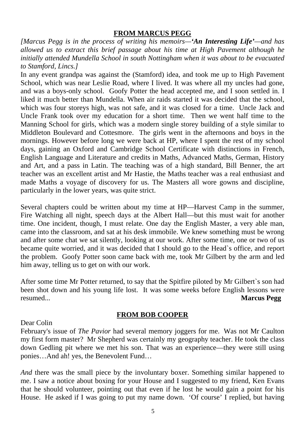#### **FROM MARCUS PEGG**

*[Marcus Pegg is in the process of writing his memoirs—'An Interesting Life'—and has allowed us to extract this brief passage about his time at High Pavement although he initially attended Mundella School in south Nottingham when it was about to be evacuated to Stamford, Lincs.]* 

In any event grandpa was against the (Stamford) idea, and took me up to High Pavement School, which was near Leslie Road, where I lived. It was where all my uncles had gone, and was a boys-only school. Goofy Potter the head accepted me, and I soon settled in. I liked it much better than Mundella. When air raids started it was decided that the school, which was four storeys high, was not safe, and it was closed for a time. Uncle Jack and Uncle Frank took over my education for a short time. Then we went half time to the Manning School for girls, which was a modern single storey building of a style similar to Middleton Boulevard and Cottesmore. The girls went in the afternoons and boys in the mornings. However before long we were back at HP, where I spent the rest of my school days, gaining an Oxford and Cambridge School Certificate with distinctions in French, English Language and Literature and credits in Maths, Advanced Maths, German, History and Art, and a pass in Latin. The teaching was of a high standard, Bill Benner, the art teacher was an excellent artist and Mr Hastie, the Maths teacher was a real enthusiast and made Maths a voyage of discovery for us. The Masters all wore gowns and discipline, particularly in the lower years, was quite strict.

Several chapters could be written about my time at HP—Harvest Camp in the summer, Fire Watching all night, speech days at the Albert Hall—but this must wait for another time. One incident, though, I must relate. One day the English Master, a very able man, came into the classroom, and sat at his desk immobile. We knew something must be wrong and after some chat we sat silently, looking at our work. After some time, one or two of us became quite worried, and it was decided that I should go to the Head`s office, and report the problem. Goofy Potter soon came back with me, took Mr Gilbert by the arm and led him away, telling us to get on with our work.

After some time Mr Potter returned, to say that the Spitfire piloted by Mr Gilbert`s son had been shot down and his young life lost. It was some weeks before English lessons were resumed... **Marcus Pegg**

#### **FROM BOB COOPER**

#### Dear Colin

February's issue of *The Pavior* had several memory joggers for me. Was not Mr Caulton my first form master? Mr Shepherd was certainly my geography teacher. He took the class down Gedling pit where we met his son. That was an experience—they were still using ponies…And ah! yes, the Benevolent Fund…

*And* there was the small piece by the involuntary boxer. Something similar happened to me. I saw a notice about boxing for your House and I suggested to my friend, Ken Evans that he should volunteer, pointing out that even if he lost he would gain a point for his House. He asked if I was going to put my name down. 'Of course' I replied, but having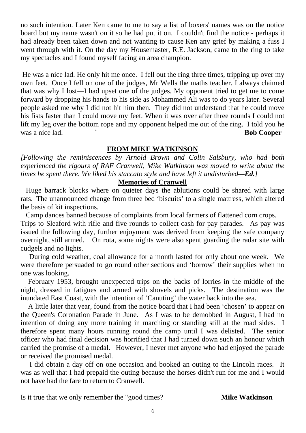no such intention. Later Ken came to me to say a list of boxers' names was on the notice board but my name wasn't on it so he had put it on. I couldn't find the notice - perhaps it had already been taken down and not wanting to cause Ken any grief by making a fuss I went through with it. On the day my Housemaster, R.E. Jackson, came to the ring to take my spectacles and I found myself facing an area champion.

 He was a nice lad. He only hit me once. I fell out the ring three times, tripping up over my own feet. Once I fell on one of the judges, Mr Wells the maths teacher. I always claimed that was why I lost—I had upset one of the judges. My opponent tried to get me to come forward by dropping his hands to his side as Mohammed Ali was to do years later. Several people asked me why I did not hit him then. They did not understand that he could move his fists faster than I could move my feet. When it was over after three rounds I could not lift my leg over the bottom rope and my opponent helped me out of the ring. I told you he was a nice lad. **Bob Cooper** 

#### **FROM MIKE WATKINSON**

*[Following the reminiscences by Arnold Brown and Colin Salsbury, who had both experienced the rigours of RAF Cranwell, Mike Watkinson was moved to write about the times he spent there. We liked his staccato style and have left it undisturbed—Ed.]* 

#### **Memories of Cranwell**

 Huge barrack blocks where on quieter days the ablutions could be shared with large rats. The unannounced change from three bed 'biscuits' to a single mattress, which altered the basis of kit inspections.

 Camp dances banned because of complaints from local farmers of flattened corn crops. Trips to Sleaford with rifle and five rounds to collect cash for pay parades. As pay was issued the following day, further enjoyment was derived from keeping the safe company overnight, still armed. On rota, some nights were also spent guarding the radar site with

cudgels and no lights.

 During cold weather, coal allowance for a month lasted for only about one week. We were therefore persuaded to go round other sections and 'borrow' their supplies when no one was looking.

 February 1953, brought unexpected trips on the backs of lorries in the middle of the night, dressed in fatigues and armed with shovels and picks. The destination was the inundated East Coast, with the intention of 'Canuting' the water back into the sea.

 A little later that year, found from the notice board that I had been 'chosen' to appear on the Queen's Coronation Parade in June. As I was to be demobbed in August, I had no intention of doing any more training in marching or standing still at the road sides. I therefore spent many hours running round the camp until I was delisted. The senior officer who had final decision was horrified that I had turned down such an honour which carried the promise of a medal. However, I never met anyone who had enjoyed the parade or received the promised medal.

 I did obtain a day off on one occasion and booked an outing to the Lincoln races. It was as well that I had prepaid the outing because the horses didn't run for me and I would not have had the fare to return to Cranwell.

Is it true that we only remember the "good times? **Mike Watkinson**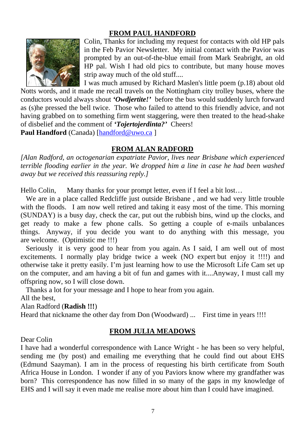#### **FROM PAUL HANDFORD**



Colin, Thanks for including my request for contacts with old HP pals in the Feb Pavior Newsletter. My initial contact with the Pavior was prompted by an out-of-the-blue email from Mark Seabright, an old HP pal. Wish I had old pics to contribute, but many house moves strip away much of the old stuff....

I was much amused by Richard Maslen's little poem (p.18) about old Notts words, and it made me recall travels on the Nottingham city trolley buses, where the conductors would always shout *'Owdjertite!'* before the bus would suddenly lurch forward as (s)he pressed the bell twice. Those who failed to attend to this friendly advice, and not having grabbed on to something firm went staggering, were then treated to the head-shake of disbelief and the comment of *'Tojertojerdinta?'* Cheers!

Paul Handford (Canada) [[handford@uwo.ca](mailto:handford@uwo.ca) ]

#### **FROM ALAN RADFORD**

*[Alan Radford, an octogenarian expatriate Pavior, lives near Brisbane which experienced terrible flooding earlier in the year. We dropped him a line in case he had been washed away but we received this reassuring reply.]* 

Hello Colin, Many thanks for your prompt letter, even if I feel a bit lost...

 We are in a place called Redcliffe just outside Brisbane , and we had very little trouble with the floods. I am now well retired and taking it easy most of the time. This morning (SUNDAY) is a busy day, check the car, put out the rubbish bins, wind up the clocks, and get ready to make a few phone calls. So getting a couple of e-mails unbalances things. Anyway, if you decide you want to do anything with this message, you are welcome. (Optimistic me !!!)

 Seriously it is very good to hear from you again. As I said, I am well out of most excitements. I normally play bridge twice a week (NO expert but enjoy it !!!!) and otherwise take it pretty easily. I'm just learning how to use the Microsoft Life Cam set up on the computer, and am having a bit of fun and games with it....Anyway, I must call my offspring now, so I will close down.

Thanks a lot for your message and I hope to hear from you again.

All the best,

Alan Radford (**Radish !!!**)

Heard that nickname the other day from Don (Woodward) ... First time in years !!!!

#### **FROM JULIA MEADOWS**

Dear Colin

I have had a wonderful correspondence with Lance Wright - he has been so very helpful, sending me (by post) and emailing me everything that he could find out about EHS (Edmund Saayman). I am in the process of requesting his birth certificate from South Africa House in London. I wonder if any of you Paviors know where my grandfather was born? This correspondence has now filled in so many of the gaps in my knowledge of EHS and I will say it even made me realise more about him than I could have imagined.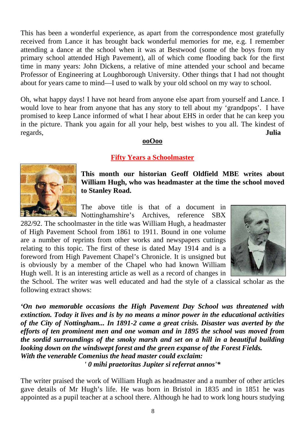This has been a wonderful experience, as apart from the correspondence most gratefully received from Lance it has brought back wonderful memories for me, e.g. I remember attending a dance at the school when it was at Bestwood (some of the boys from my primary school attended High Pavement), all of which come flooding back for the first time in many years: John Dickens, a relative of mine attended your school and became Professor of Engineering at Loughborough University. Other things that I had not thought about for years came to mind—I used to walk by your old school on my way to school.

Oh, what happy days! I have not heard from anyone else apart from yourself and Lance. I would love to hear from anyone that has any story to tell about my 'grandpops'. I have promised to keep Lance informed of what I hear about EHS in order that he can keep you in the picture. Thank you again for all your help, best wishes to you all. The kindest of regards, **Julia**

#### **ooOoo**

#### **Fifty Years a Schoolmaster**



**This month our historian Geoff Oldfield MBE writes about William Hugh, who was headmaster at the time the school moved to Stanley Road.** 

The above title is that of a document in Nottinghamshire's Archives, reference SBX

282/92. The schoolmaster in the title was William Hugh, a headmaster of High Pavement School from 1861 to 1911. Bound in one volume are a number of reprints from other works and newspapers cuttings relating to this topic. The first of these is dated May 1914 and is a foreword from High Pavement Chapel's Chronicle. It is unsigned but is obviously by a member of the Chapel who had known William Hugh well. It is an interesting article as well as a record of changes in



the School. The writer was well educated and had the style of a classical scholar as the following extract shows:

*'On two memorable occasions the High Pavement Day School was threatened with extinction. Today it lives and is by no means a minor power in the educational activities of the City of Nottingham... In 1891-2 came a great crisis. Disaster was averted by the efforts of ten prominent men and one woman and in 1895 the school was moved from the sordid surroundings of the smoky marsh and set on a hill in a beautiful building looking down on the windswept forest and the green expanse of the Forest Fields. With the venerable Comenius the head master could exclaim: ' 0 mihi praetoritas Jupiter si referrat annos'\** 

The writer praised the work of William Hugh as headmaster and a number of other articles gave details of Mr Hugh's life. He was born in Bristol in 1835 and in 1851 he was appointed as a pupil teacher at a school there. Although he had to work long hours studying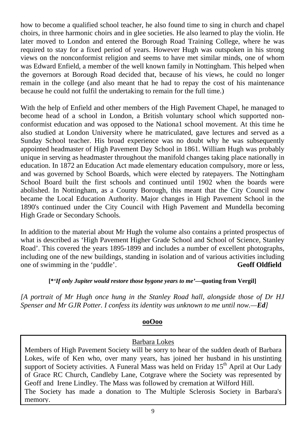how to become a qualified school teacher, he also found time to sing in church and chapel choirs, in three harmonic choirs and in glee societies. He also learned to play the violin. He later moved to London and entered the Borough Road Training College, where he was required to stay for a fixed period of years. However Hugh was outspoken in his strong views on the nonconformist religion and seems to have met similar minds, one of whom was Edward Enfield, a member of the well known family in Nottingham. This helped when the governors at Borough Road decided that, because of his views, he could no longer remain in the college (and also meant that he had to repay the cost of his maintenance because he could not fulfil the undertaking to remain for the full time.)

With the help of Enfield and other members of the High Pavement Chapel, he managed to become head of a school in London, a British voluntary school which supported nonconformist education and was opposed to the Nationa1 school movement. At this time he also studied at London University where he matriculated, gave lectures and served as a Sunday School teacher. His broad experience was no doubt why he was subsequently appointed headmaster of High Pavement Day School in 1861. William Hugh was probably unique in serving as headmaster throughout the manifold changes taking place nationally in education. In 1872 an Education Act made elementary education compulsory, more or less, and was governed by School Boards, which were elected by ratepayers. The Nottingham School Board built the first schools and continued until 1902 when the boards were abolished. In Nottingham, as a County Borough, this meant that the City Council now became the Local Education Authority. Major changes in High Pavement School in the 1890's continued under the City Council with High Pavement and Mundella becoming High Grade or Secondary Schools.

In addition to the material about Mr Hugh the volume also contains a printed prospectus of what is described as 'High Pavement Higher Grade School and School of Science, Stanley Road'. This covered the years 1895-1899 and includes a number of excellent photographs, including one of the new buildings, standing in isolation and of various activities including one of swimming in the 'puddle'. **Geoff Oldfield** 

#### **[\****'If only Jupiter would restore those bygone years to me'—***quoting from Vergil]**

*[A portrait of Mr Hugh once hung in the Stanley Road hall, alongside those of Dr HJ Spenser and Mr GJR Potter. I confess its identity was unknown to me until now.—Ed]* 

#### **ooOoo**

#### Barbara Lokes

Members of High Pavement Society will be sorry to hear of the sudden death of Barbara Lokes, wife of Ken who, over many years, has joined her husband in his unstinting support of Society activities. A Funeral Mass was held on Friday  $15<sup>th</sup>$  April at Our Lady of Grace RC Church, Candleby Lane, Cotgrave where the Society was represented by Geoff and Irene Lindley. The Mass was followed by cremation at Wilford Hill. The Society has made a donation to The Multiple Sclerosis Society in Barbara's memory.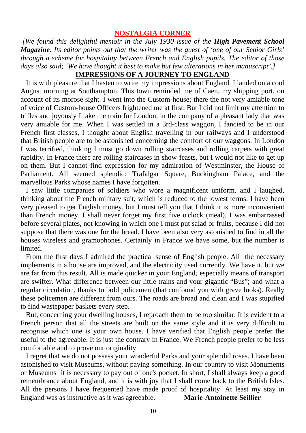#### **NOSTALGIA CORNER**

 *[We found this delightful memoir in the July 1930 issue of the High Pavement School Magazine. Its editor points out that the writer was the guest of 'one of our Senior Girls' through a scheme for hospitality between French and English pupils. The editor of those days also said; 'We have thought it best to make but few alterations in her manuscript'.]* 

#### **IMPRESSlONS OF A JOURNEY TO ENGLAND**

 It is with pleasure that I hasten to write my impressions about England. I landed on a cool August morning at Southampton. This town reminded me of Caen, my shipping port, on account of its morose sight. I went into the Custom-house; there the not very amiable tone of voice of Custom-house Officers frightened me at first. But I did not limit my attention to trifles and joyously I take the train for London, in the company of a pleasant lady that was very amiable for me. When I was settled in a 3rd-class waggon, I fancied to be in our French first-classes, I thought about English travelling in our railways and I understood that British people are to be astonished concerning the comfort of our waggons. In London I was terrified, thinking I must go down rolling staircases and rolling carpets with great rapidity. In France there are rolling staircases in show-feasts, but I would not like to get up on them. But I cannot find expression for my admiration of Westminster, the House of Parliament. All seemed splendid: Trafalgar Square, Buckingham Palace, and the marvellous Parks whose names I have forgotten.

 I saw little companies of soldiers who wore a magnificent uniform, and I laughed, thinking about the French military suit, which is reduced to the lowest terms. I have been very pleased to get English money, but I must tell you that I think it is more inconvenient than French money. I shall never forget my first five o'clock (meal). I was embarrassed before several plates, not knowing in which one I must put salad or fruits, because I did not suppose that there was one for the bread. I have been also very astonished to find in all the houses wireless and gramophones. Certainly in France we have some, but the number is limited.

 From the first days I admired the practical sense of English people. All the necessary implements in a house are improved, and the electricity used currently. We have it, but we are far from this result. All is made quicker in your England; especially means of transport are swifter. What difference between our little trains and your gigantic "Bus"; and what a regular circulation, thanks to bold policemen (that confound you with grave looks). Really these policemen are different from ours. The roads are broad and clean and I was stupified to find wastepaper baskets every step.

 But, concerning your dwelling houses, I reproach them to be too similar. It is evident to a French person that all the streets are built on the same style and it is very difficult to recognise which one is your own house. I have verified that English people prefer the useful to the agreeable. It is just the contrary in France. We French people prefer to be less comfortable and to prove our originality.

 I regret that we do not possess your wonderful Parks and your splendid roses. I have been astonished to visit Museums, without paying something. In our country to visit Monuments or Museums it is necessary to pay out of one's pocket. In short, I shall always keep a good remembrance about England, and it is with joy that I shall come back to the British Isles. All the persons I have frequented have made proof of hospitality. At least my stay in England was as instructive as it was agreeable. **Marie-Antoinette Seillier**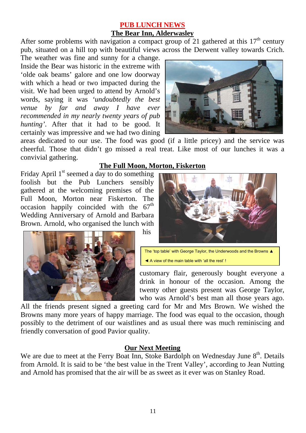#### **PUB LUNCH NEWS The Bear Inn, Alderwasley**

After some problems with navigation a compact group of 21 gathered at this  $17<sup>th</sup>$  century pub, situated on a hill top with beautiful views across the Derwent valley towards Crich.

The weather was fine and sunny for a change. Inside the Bear was historic in the extreme with 'olde oak beams' galore and one low doorway with which a head or two impacted during the visit. We had been urged to attend by Arnold's words, saying it was *'undoubtedly the best venue by far and away I have ever recommended in my nearly twenty years of pub hunting'*. After that it had to be good. It certainly was impressive and we had two dining



areas dedicated to our use. The food was good (if a little pricey) and the service was cheerful. Those that didn't go missed a real treat. Like most of our lunches it was a convivial gathering.

#### **The Full Moon, Morton, Fiskerton**

Friday April 1<sup>st</sup> seemed a day to do something foolish but the Pub Lunchers sensibly gathered at the welcoming premises of the Full Moon, Morton near Fiskerton. The occasion happily coincided with the  $67<sup>th</sup>$ Wedding Anniversary of Arnold and Barbara Brown. Arnold, who organised the lunch with his





The 'top table' with George Taylor, the Underwoods and the Browns ▲ ◄ A view of the main table with 'all the rest' !

customary flair, generously bought everyone a drink in honour of the occasion. Among the twenty other guests present was George Taylor, who was Arnold's best man all those years ago.

All the friends present signed a greeting card for Mr and Mrs Brown. We wished the Browns many more years of happy marriage. The food was equal to the occasion, though possibly to the detriment of our waistlines and as usual there was much reminiscing and friendly conversation of good Pavior quality.

#### **Our Next Meeting**

We are due to meet at the Ferry Boat Inn, Stoke Bardolph on Wednesday June 8<sup>th</sup>. Details from Arnold. It is said to be 'the best value in the Trent Valley', according to Jean Nutting and Arnold has promised that the air will be as sweet as it ever was on Stanley Road.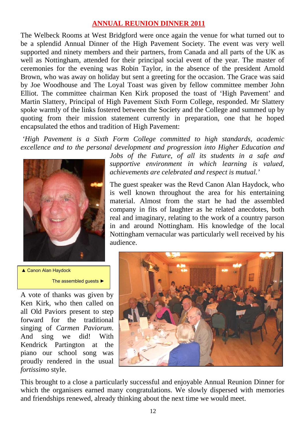#### **ANNUAL REUNION DINNER 2011**

The Welbeck Rooms at West Bridgford were once again the venue for what turned out to be a splendid Annual Dinner of the High Pavement Society. The event was very well supported and ninety members and their partners, from Canada and all parts of the UK as well as Nottingham, attended for their principal social event of the year. The master of ceremonies for the evening was Robin Taylor, in the absence of the president Arnold Brown, who was away on holiday but sent a greeting for the occasion. The Grace was said by Joe Woodhouse and The Loyal Toast was given by fellow committee member John Elliot. The committee chairman Ken Kirk proposed the toast of 'High Pavement' and Martin Slattery, Principal of High Pavement Sixth Form College, responded. Mr Slattery spoke warmly of the links fostered between the Society and the College and summed up by quoting from their mission statement currently in preparation, one that he hoped encapsulated the ethos and tradition of High Pavement:

*'High Pavement is a Sixth Form College committed to high standards, academic excellence and to the personal development and progression into Higher Education and* 



*Jobs of the Future, of all its students in a safe and supportive environment in which learning is valued, achievements are celebrated and respect is mutual.'*

The guest speaker was the Revd Canon Alan Haydock, who is well known throughout the area for his entertaining material. Almost from the start he had the assembled company in fits of laughter as he related anecdotes, both real and imaginary, relating to the work of a country parson in and around Nottingham. His knowledge of the local Nottingham vernacular was particularly well received by his audience.

▲ Canon Alan Haydock The assembled guests ►

A vote of thanks was given by Ken Kirk, who then called on all Old Paviors present to step forward for the traditional singing of *Carmen Paviorum*. And sing we did! With Kendrick Partington at the piano our school song was proudly rendered in the usual *fortissimo* style.



This brought to a close a particularly successful and enjoyable Annual Reunion Dinner for which the organisers earned many congratulations. We slowly dispersed with memories and friendships renewed, already thinking about the next time we would meet.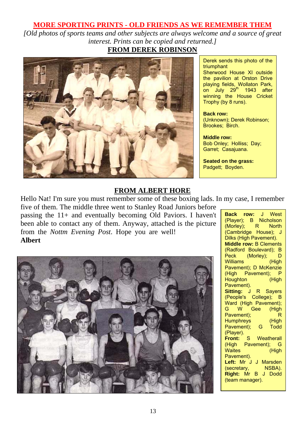#### **MORE SPORTING PRINTS - OLD FRIENDS AS WE REMEMBER THEM**

*[Old photos of sports teams and other subjects are always welcome and a source of great interest. Prints can be copied and returned.]* 



Derek sends this photo of the triumphant

Sherwood House XI outside the pavilion at Orston Drive playing fields, Wollaton Park, on July 29<sup>th</sup> 1943 after winning the House Cricket Trophy (by 8 runs).

**Back row:**  (Unknown); Derek Robinson; Brookes; Birch.

**Middle row:**  Bob Onley; Holliss; Day; Garret; Casajuana.

**Seated on the grass:**  Padgett; Boyden.

#### **FROM ALBERT HORE**

Hello Nat! I'm sure you must remember some of these boxing lads. In my case, I remember five of them. The middle three went to Stanley Road Juniors before

passing the 11+ and eventually becoming Old Paviors. I haven't been able to contact any of them. Anyway, attached is the picture from the *Nottm Evening Post*. Hope you are well! **Albert**



**Back row:** J West (Player); B Nicholson (Morley); R North (Cambridge House); J Dilks (High Pavement). **Middle row:** B Clements (Radford Boulevard); B Peck (Morley); D<br>Williams (High Williams Pavement); D McKenzie (High Pavement); P Houghton (High Pavement). **Sitting:** J R Sayers (People's College); B Ward (High Pavement); G W Gee (High Pavement); R Humphreys (High Pavement); G Todd (Player). **Front:** S Weatherall (High Pavement); G Waites (High Pavement). **Left:** Mr J J Marsden (secretary, NSBA). **Right:** Mr B J Dodd (team manager).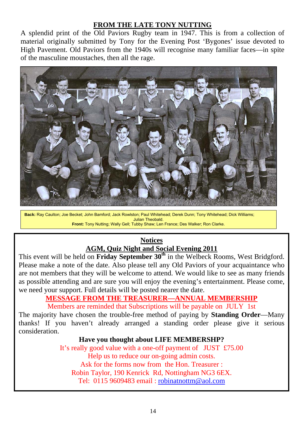#### **FROM THE LATE TONY NUTTING**

A splendid print of the Old Paviors Rugby team in 1947. This is from a collection of material originally submitted by Tony for the Evening Post 'Bygones' issue devoted to High Pavement. Old Paviors from the 1940s will recognise many familiar faces—in spite of the masculine moustaches, then all the rage.



**Back:** Ray Caulton; Joe Becket; John Bamford; Jack Rowlston; Paul Whitehead; Derek Dunn; Tony Whitehead; Dick Williams; Julian Theobald. **Front:** Tony Nutting; Wally Gell; Tubby Shaw; Len France; Des Walker; Ron Clarke.

#### **Notices AGM, Quiz Night and Social Evening 2011**

This event will be held on **Friday September 30th** in the Welbeck Rooms, West Bridgford. Please make a note of the date. Also please tell any Old Paviors of your acquaintance who are not members that they will be welcome to attend. We would like to see as many friends as possible attending and are sure you will enjoy the evening's entertainment. Please come, we need your support. Full details will be posted nearer the date.

### **MESSAGE FROM THE TREASURER—ANNUAL MEMBERSHIP**

Members are reminded that Subscriptions will be payable on JULY 1st

The majority have chosen the trouble-free method of paying by **Standing Order**—Many thanks! If you haven't already arranged a standing order please give it serious consideration.

#### **Have you thought about LIFE MEMBERSHP?**

It's really good value with a one-off payment of JUST £75.00 Help us to reduce our on-going admin costs. Ask for the forms now from the Hon. Treasurer : Robin Taylor, 190 Kenrick Rd, Nottingham NG3 6EX. Tel: 0115 9609483 email : [robinatnottm@aol.com](mailto:robinatnottm@aol.com)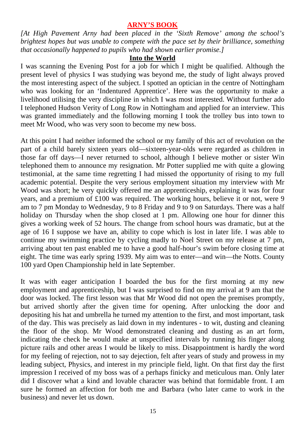#### **ARNY'S BOOK**

*[At High Pavement Arny had been placed in the 'Sixth Remove' among the school's brightest hopes but was unable to compete with the pace set by their brilliance, something that occasionally happened to pupils who had shown earlier promise.]* 

#### **Into the World**

I was scanning the Evening Post for a job for which I might be qualified. Although the present level of physics I was studying was beyond me, the study of light always proved the most interesting aspect of the subject. I spotted an optician in the centre of Nottingham who was looking for an 'Indentured Apprentice'. Here was the opportunity to make a livelihood utilising the very discipline in which I was most interested. Without further ado I telephoned Hudson Verity of Long Row in Nottingham and applied for an interview. This was granted immediately and the following morning I took the trolley bus into town to meet Mr Wood, who was very soon to become my new boss.

At this point I had neither informed the school or my family of this act of revolution on the part of a child barely sixteen years old—sixteen-year-olds were regarded as children in those far off days—I never returned to school, although I believe mother or sister Win telephoned them to announce my resignation. Mr Potter supplied me with quite a glowing testimonial, at the same time regretting I had missed the opportunity of rising to my full academic potential. Despite the very serious employment situation my interview with Mr Wood was short; he very quickly offered me an apprenticeship, explaining it was for four years, and a premium of £100 was required. The working hours, believe it or not, were 9 am to 7 pm Monday to Wednesday, 9 to 8 Friday and 9 to 9 on Saturdays. There was a half holiday on Thursday when the shop closed at 1 pm. Allowing one hour for dinner this gives a working week of 52 hours. The change from school hours was dramatic, but at the age of 16 I suppose we have an, ability to cope which is lost in later life. I was able to continue my swimming practice by cycling madly to Noel Street on my release at 7 pm, arriving about ten past enabled me to have a good half-hour's swim before closing time at eight. The time was early spring 1939. My aim was to enter—and win—the Notts. County 100 yard Open Championship held in late September.

It was with eager anticipation I boarded the bus for the first morning at my new employment and apprenticeship, but I was surprised to find on my arrival at 9 am that the door was locked. The first lesson was that Mr Wood did not open the premises promptly, but arrived shortly after the given time for opening. After unlocking the door and depositing his hat and umbrella he turned my attention to the first, and most important, task of the day. This was precisely as laid down in my indentures - to wit, dusting and cleaning the floor of the shop. Mr Wood demonstrated cleaning and dusting as an art form, indicating the check he would make at unspecified intervals by running his finger along picture rails and other areas I would be likely to miss. Disappointment is hardly the word for my feeling of rejection, not to say dejection, felt after years of study and prowess in my leading subject, Physics, and interest in my principle field, light. On that first day the first impression I received of my boss was of a perhaps finicky and meticulous man. Only later did I discover what a kind and lovable character was behind that formidable front. I am sure he formed an affection for both me and Barbara (who later came to work in the business) and never let us down.